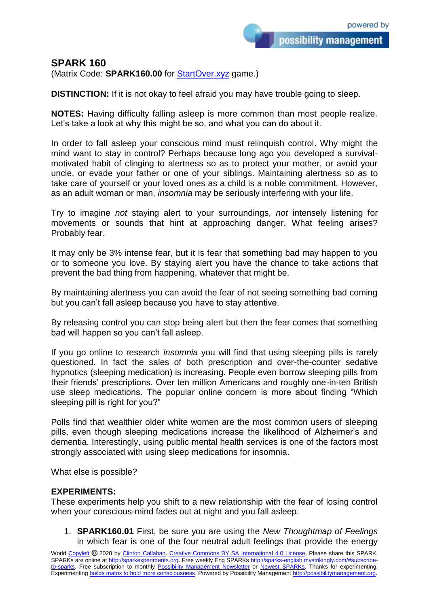possibility management

**SPARK 160**

(Matrix Code: **SPARK160.00** for [StartOver.xyz](https://startoverxyz.mystrikingly.com/) game.)

**DISTINCTION:** If it is not okay to feel afraid you may have trouble going to sleep.

**NOTES:** Having difficulty falling asleep is more common than most people realize. Let's take a look at why this might be so, and what you can do about it.

In order to fall asleep your conscious mind must relinquish control. Why might the mind want to stay in control? Perhaps because long ago you developed a survivalmotivated habit of clinging to alertness so as to protect your mother, or avoid your uncle, or evade your father or one of your siblings. Maintaining alertness so as to take care of yourself or your loved ones as a child is a noble commitment. However, as an adult woman or man, *insomnia* may be seriously interfering with your life.

Try to imagine *not* staying alert to your surroundings, *not* intensely listening for movements or sounds that hint at approaching danger. What feeling arises? Probably fear.

It may only be 3% intense fear, but it is fear that something bad may happen to you or to someone you love. By staying alert you have the chance to take actions that prevent the bad thing from happening, whatever that might be.

By maintaining alertness you can avoid the fear of not seeing something bad coming but you can't fall asleep because you have to stay attentive.

By releasing control you can stop being alert but then the fear comes that something bad will happen so you can't fall asleep.

If you go online to research *insomnia* you will find that using sleeping pills is rarely questioned. In fact the sales of both prescription and over-the-counter sedative hypnotics (sleeping medication) is increasing. People even borrow sleeping pills from their friends' prescriptions. Over ten million Americans and roughly one-in-ten British use sleep medications. The popular online concern is more about finding "Which sleeping pill is right for you?"

Polls find that wealthier older white women are the most common users of sleeping pills, even though sleeping medications increase the likelihood of Alzheimer's and dementia. Interestingly, using public mental health services is one of the factors most strongly associated with using sleep medications for insomnia.

What else is possible?

## **EXPERIMENTS:**

These experiments help you shift to a new relationship with the fear of losing control when your conscious-mind fades out at night and you fall asleep.

1. **SPARK160.01** First, be sure you are using the *New Thoughtmap of Feelings* in which fear is one of the four neutral adult feelings that provide the energy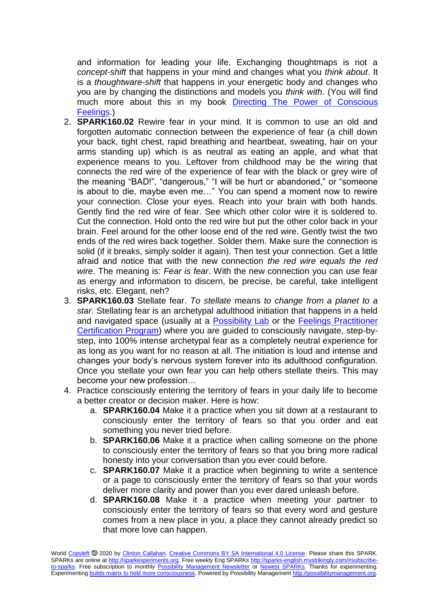and information for leading your life. Exchanging thoughtmaps is not a *concept-shift* that happens in your mind and changes what you *think about*. It is a *thoughtware-shift* that happens in your energetic body and changes who you are by changing the distinctions and models you *think with*. (You will find much more about this in my book [Directing The Power of Conscious](http://www.nextculturepress.org/498.html?&L=1)  [Feelings.](http://www.nextculturepress.org/498.html?&L=1))

- 2. **SPARK160.02** Rewire fear in your mind. It is common to use an old and forgotten automatic connection between the experience of fear (a chill down your back, tight chest, rapid breathing and heartbeat, sweating, hair on your arms standing up) which is as neutral as eating an apple, and what that experience means to you. Leftover from childhood may be the wiring that connects the red wire of the experience of fear with the black or grey wire of the meaning "BAD!", "dangerous," "I will be hurt or abandoned," or "someone is about to die, maybe even me…" You can spend a moment now to rewire your connection. Close your eyes. Reach into your brain with both hands. Gently find the red wire of fear. See which other color wire it is soldered to. Cut the connection. Hold onto the red wire but put the other color back in your brain. Feel around for the other loose end of the red wire. Gently twist the two ends of the red wires back together. Solder them. Make sure the connection is solid (if it breaks, simply solder it again). Then test your connection. Get a little afraid and notice that with the new connection *the red wire equals the red wire*. The meaning is: *Fear is fear*. With the new connection you can use fear as energy and information to discern, be precise, be careful, take intelligent risks, etc. Elegant, neh?
- 3. **SPARK160.03** Stellate fear. *To stellate* means *to change from a planet to a star*. Stellating fear is an archetypal adulthood initiation that happens in a held and navigated space (usually at a [Possibility Lab](http://nextculture.org/labs/en) or the [Feelings Practitioner](http://feelingspractitioner.com/)  [Certification Program\)](http://feelingspractitioner.com/) where you are guided to consciously navigate, step-bystep, into 100% intense archetypal fear as a completely neutral experience for as long as you want for no reason at all. The initiation is loud and intense and changes your body's nervous system forever into its adulthood configuration. Once you stellate your own fear you can help others stellate theirs. This may become your new profession…
- 4. Practice consciously entering the territory of fears in your daily life to become a better creator or decision maker. Here is how:
	- a. **SPARK160.04** Make it a practice when you sit down at a restaurant to consciously enter the territory of fears so that you order and eat something you never tried before.
	- b. **SPARK160.06** Make it a practice when calling someone on the phone to consciously enter the territory of fears so that you bring more radical honesty into your conversation than you ever could before.
	- c. **SPARK160.07** Make it a practice when beginning to write a sentence or a page to consciously enter the territory of fears so that your words deliver more clarity and power than you ever dared unleash before.
	- d. **SPARK160.08** Make it a practice when meeting your partner to consciously enter the territory of fears so that every word and gesture comes from a new place in you, a place they cannot already predict so that more love can happen.